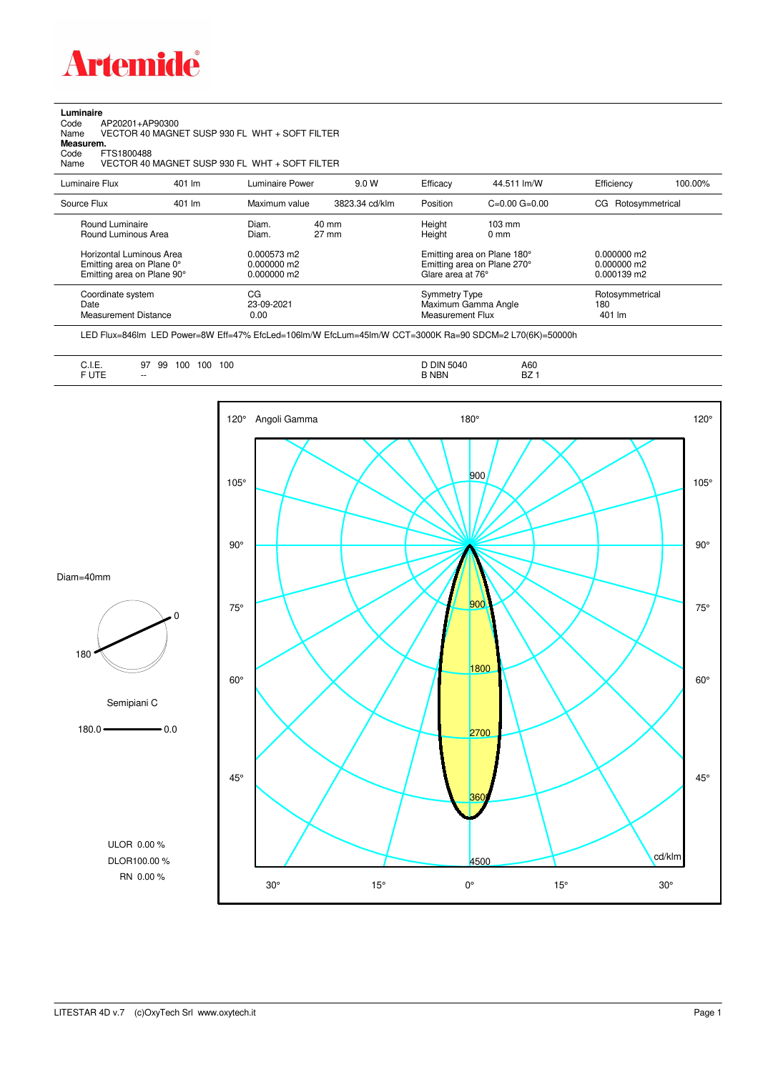

**Luminaire**

| AP20201+AP90300<br>Code<br>VECTOR 40 MAGNET SUSP 930 FL WHT + SOFT FILTER<br>Name<br>Measurem.<br>FTS1800488<br>Code<br>VECTOR 40 MAGNET SUSP 930 FL WHT + SOFT FILTER<br>Name |        |                                            |                |                                                 |                                                            |                                             |         |  |  |  |
|--------------------------------------------------------------------------------------------------------------------------------------------------------------------------------|--------|--------------------------------------------|----------------|-------------------------------------------------|------------------------------------------------------------|---------------------------------------------|---------|--|--|--|
| Luminaire Flux                                                                                                                                                                 | 401 lm | Luminaire Power                            | 9.0 W          | Efficacy                                        | 44.511 lm/W                                                | Efficiency                                  | 100.00% |  |  |  |
| Source Flux                                                                                                                                                                    | 401 lm | Maximum value                              | 3823.34 cd/klm | Position                                        | $C = 0.00$ $G = 0.00$                                      | CG Rotosymmetrical                          |         |  |  |  |
| Round Luminaire<br>Round Luminous Area                                                                                                                                         |        | 40 mm<br>Diam.<br>$27 \text{ mm}$<br>Diam. |                | Height<br>Height                                | $103 \text{ mm}$<br>$0 \text{ mm}$                         |                                             |         |  |  |  |
| Horizontal Luminous Area<br>Emitting area on Plane 0°<br>Emitting area on Plane 90°                                                                                            |        | 0.000573 m2<br>0.000000 m2<br>0.000000 m2  |                | Glare area at 76°                               | Emitting area on Plane 180°<br>Emitting area on Plane 270° | $0.000000$ m2<br>0.000000 m2<br>0.000139 m2 |         |  |  |  |
| Coordinate system<br>Date<br><b>Measurement Distance</b>                                                                                                                       |        | CG<br>23-09-2021<br>0.00                   |                | <b>Symmetry Type</b><br><b>Measurement Flux</b> | Maximum Gamma Angle                                        | Rotosymmetrical<br>180<br>401 lm            |         |  |  |  |

LED Flux=846lm LED Power=8W Eff=47% EfcLed=106lm/W EfcLum=45lm/W CCT=3000K Ra=90 SDCM=2 L70(6K)=50000h